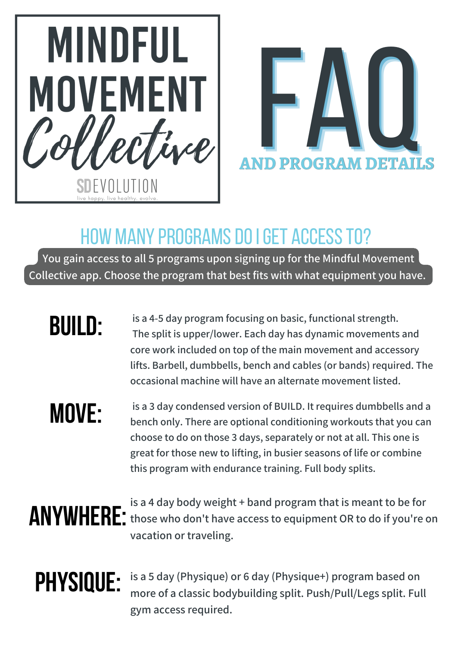



#### HOW MANY PROGRAMS DO I GET ACCESS TO?

**You gain access to all 5 programs upon signing up for the Mindful Movement Collective app. Choose the program that best fits with what equipment you have.**

# **BUILD:**

**is a 4-5 day program focusing on basic, functional strength. The split is upper/lower. Each day has dynamic movements and core work included on top of the main movement and accessory lifts. Barbell, dumbbells, bench and cables (or bands) required. The occasional machine will have an alternate movement listed.**

# **MOVE:**

**is a 3 day condensed version of BUILD. It requires dumbbells and a bench only. There are optional conditioning workouts that you can choose to do on those 3 days, separately or not at all. This one is great for those new to lifting, in busier seasons of life or combine this program with endurance training. Full body splits.**

# **ANYWHERE:**

**is a 4 day body weight + band program that is meant to be for those who don't have access to equipment OR to do if you're on vacation or traveling.**

# **PHYSIQUE:**

**is a 5 day (Physique) or 6 day (Physique+) program based on more of a classic bodybuilding split. Push/Pull/Legs split. Full gym access required.**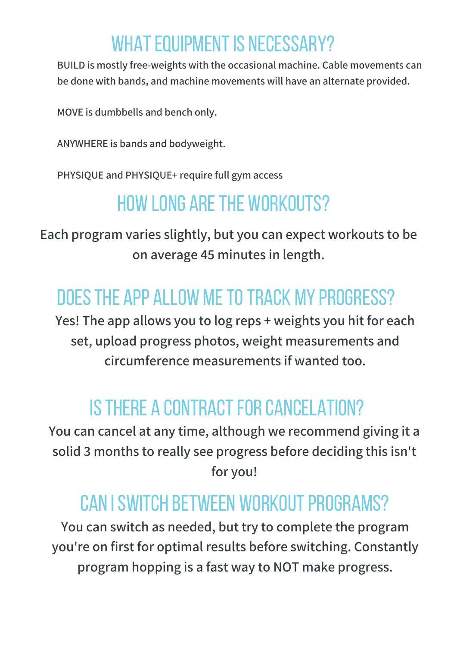## WHAT EQUIPMENT IS NECESSARY?

**BUILD is mostly free-weights with the occasional machine. Cable movements can be done with bands, and machine movements will have an alternate provided.**

**MOVE is dumbbells and bench only.**

**ANYWHERE is bands and bodyweight.**

**PHYSIQUE and PHYSIQUE+ require full gym access**

## HOW LONG ARETHE WORKOUTS?

**Each program varies slightly, but you can expect workouts to be on average 45 minutes in length.**

## DOESTHE APP ALLOW METOTRACK MY PROGRESS?

**Yes! The app allows you to log reps + weights you hit for each set, upload progress photos, weight measurements and circumference measurements if wanted too.**

### IS THERE A CONTRACT FOR CANCELATION?

**You can cancel at any time, although we recommend giving it a solid 3 months to really see progress before deciding this isn't for you!**

#### CAN I SWITCH BETWEEN WORKOUT PROGRAMS?

**You can switch as needed, but try to complete the program you're on first for optimal results before switching. Constantly program hopping is a fast way to NOT make progress.**